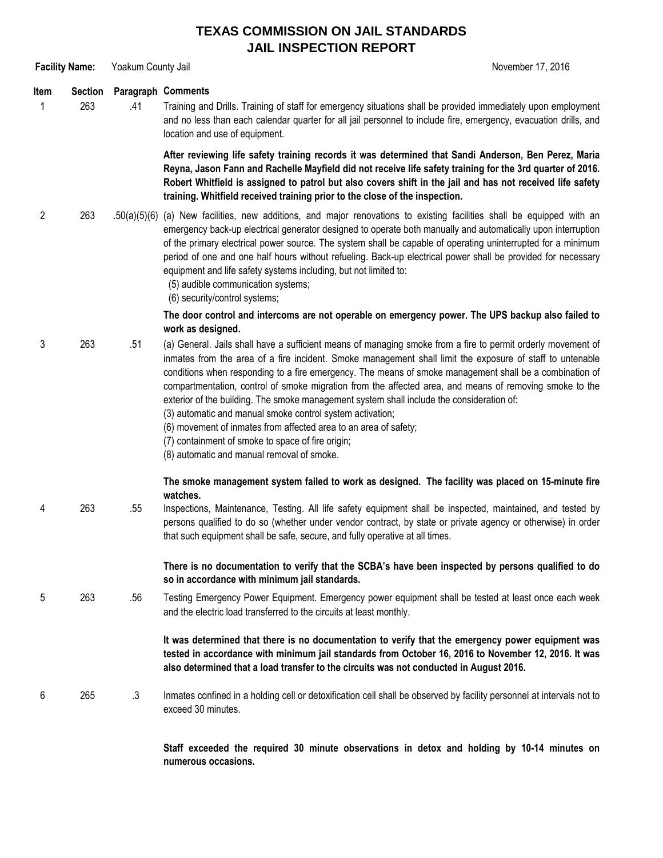## **TEXAS COMMISSION ON JAIL STANDARDS JAIL INSPECTION REPORT**

**Facility Name:** Yoakum County Jail November 17, 2016

## **Item Section Paragraph Comments**

1 263 .41 Training and Drills. Training of staff for emergency situations shall be provided immediately upon employment and no less than each calendar quarter for all jail personnel to include fire, emergency, evacuation drills, and location and use of equipment.

> **After reviewing life safety training records it was determined that Sandi Anderson, Ben Perez, Maria** Reyna, Jason Fann and Rachelle Mayfield did not receive life safety training for the 3rd quarter of 2016. Robert Whitfield is assigned to patrol but also covers shift in the jail and has not received life safety **training. Whitfield received training prior to the close of the inspection.**

- 2 263 .50(a)(5)(6) (a) New facilities, new additions, and major renovations to existing facilities shall be equipped with an emergency back-up electrical generator designed to operate both manually and automatically upon interruption of the primary electrical power source. The system shall be capable of operating uninterrupted for a minimum period of one and one half hours without refueling. Back-up electrical power shall be provided for necessary equipment and life safety systems including, but not limited to:
	- (5) audible communication systems;
	- (6) security/control systems;

**The door control and intercoms are not operable on emergency power. The UPS backup also failed to work as designed.**

- 3 263 .51 (a) General. Jails shall have a sufficient means of managing smoke from a fire to permit orderly movement of inmates from the area of a fire incident. Smoke management shall limit the exposure of staff to untenable conditions when responding to a fire emergency. The means of smoke management shall be a combination of compartmentation, control of smoke migration from the affected area, and means of removing smoke to the exterior of the building. The smoke management system shall include the consideration of:
	- (3) automatic and manual smoke control system activation;
	- (6) movement of inmates from affected area to an area of safety;
	- (7) containment of smoke to space of fire origin;
	- (8) automatic and manual removal of smoke.

## **The smoke management system failed to work as designed. The facility was placed on 15-minute fire watches.**

4 263 .55 Inspections, Maintenance, Testing. All life safety equipment shall be inspected, maintained, and tested by persons qualified to do so (whether under vendor contract, by state or private agency or otherwise) in order that such equipment shall be safe, secure, and fully operative at all times.

> **There is no documentation to verify that the SCBA's have been inspected by persons qualified to do so in accordance with minimum jail standards.**

5 263 .56 Testing Emergency Power Equipment. Emergency power equipment shall be tested at least once each week and the electric load transferred to the circuits at least monthly.

> **It was determined that there is no documentation to verify that the emergency power equipment was tested in accordance with minimum jail standards from October 16, 2016 to November 12, 2016. It was also determined that a load transfer to the circuits was not conducted in August 2016.**

6 265 .3 Inmates confined in a holding cell or detoxification cell shall be observed by facility personnel at intervals not to exceed 30 minutes.

> **Staff exceeded the required 30 minute observations in detox and holding by 10-14 minutes on numerous occasions.**